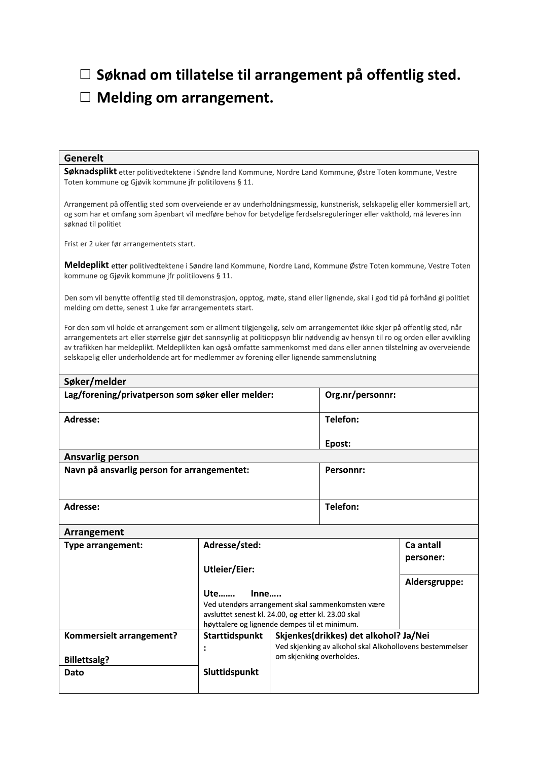$\Box$  Søknad om tillatelse til arrangement på offentlig sted.

## $\Box$  Melding om arrangement.

## Generelt

Søknadsplikt etter politivedtektene i Søndre land Kommune, Nordre Land Kommune, Østre Toten kommune, Vestre Toten kommune og Gjøvik kommune jfr politilovens § 11.

Arrangement på offentlig sted som overveiende er av underholdningsmessig, kunstnerisk, selskapelig eller kommersiell art, og som har et omfang som åpenbart vil medføre behov for betydelige ferdselsreguleringer eller vakthold, må leveres inn søknad til politiet

Frist er 2 uker før arrangementets start.

Meldeplikt etter politivedtektene i Søndre land Kommune, Nordre Land, Kommune Østre Toten kommune, Vestre Toten kommune og Gjøvik kommune jfr politilovens § 11.

Den som vil benytte offentlig sted til demonstrasjon, opptog, møte, stand eller lignende, skal i god tid på forhånd gi politiet melding om dette, senest 1 uke før arrangementets start.

For den som vil holde et arrangement som er allment tilgjengelig, selv om arrangementet ikke skjer på offentlig sted, når arrangementets art eller størrelse gjør det sannsynlig at politioppsyn blir nødvendig av hensyn til ro og orden eller avvikling av trafikken har meldeplikt. Meldeplikten kan også omfatte sammenkomst med dans eller annen tilstelning av overveiende selskapelig eller underholdende art for medlemmer av forening eller lignende sammenslutning

| Søker/melder                                      |                                                     |                                                                                      |                  |               |  |
|---------------------------------------------------|-----------------------------------------------------|--------------------------------------------------------------------------------------|------------------|---------------|--|
| Lag/forening/privatperson som søker eller melder: |                                                     |                                                                                      | Org.nr/personnr: |               |  |
| Adresse:                                          |                                                     |                                                                                      | Telefon:         |               |  |
|                                                   |                                                     |                                                                                      | Epost:           |               |  |
| <b>Ansvarlig person</b>                           |                                                     |                                                                                      |                  |               |  |
| Navn på ansvarlig person for arrangementet:       |                                                     |                                                                                      | <b>Personnr:</b> |               |  |
| Adresse:                                          |                                                     |                                                                                      | <b>Telefon:</b>  |               |  |
| Arrangement                                       |                                                     |                                                                                      |                  |               |  |
| <b>Type arrangement:</b>                          | Adresse/sted:                                       |                                                                                      | Ca antall        |               |  |
|                                                   | <b>Utleier/Eier:</b>                                |                                                                                      | personer:        |               |  |
|                                                   |                                                     |                                                                                      |                  | Aldersgruppe: |  |
|                                                   | Ute<br>Inne                                         |                                                                                      |                  |               |  |
|                                                   | Ved utendørs arrangement skal sammenkomsten være    |                                                                                      |                  |               |  |
|                                                   | avsluttet senest kl. 24.00, og etter kl. 23.00 skal |                                                                                      |                  |               |  |
|                                                   | høyttalere og lignende dempes til et minimum.       |                                                                                      |                  |               |  |
| Kommersielt arrangement?                          | Starttidspunkt                                      | Skjenkes(drikkes) det alkohol? Ja/Nei                                                |                  |               |  |
|                                                   |                                                     | Ved skjenking av alkohol skal Alkohollovens bestemmelser<br>om skjenking overholdes. |                  |               |  |
| <b>Billettsalg?</b>                               |                                                     |                                                                                      |                  |               |  |
| Dato                                              | Sluttidspunkt                                       |                                                                                      |                  |               |  |
|                                                   |                                                     |                                                                                      |                  |               |  |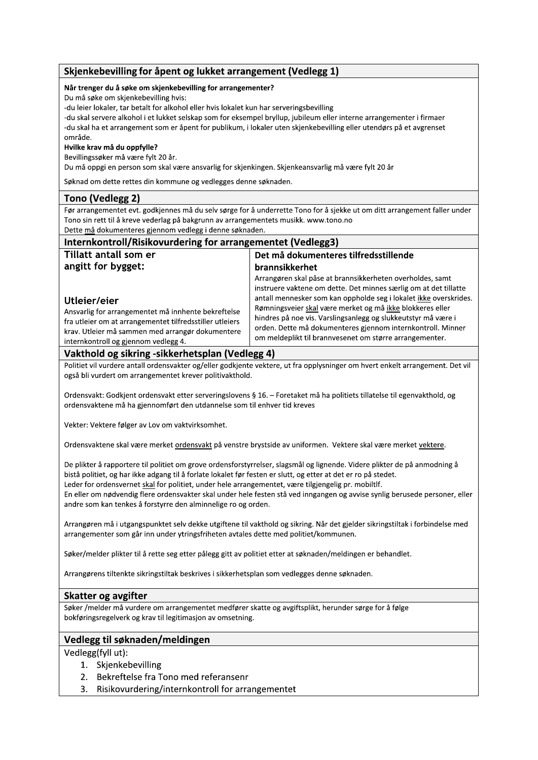## Skjenkebevilling for åpent og lukket arrangement (Vedlegg 1) Når trenger du å søke om skjenkebevilling for arrangementer? Du må søke om skjenkebevilling hvis: -du leier lokaler, tar betalt for alkohol eller hvis lokalet kun har serveringsbevilling -du skal servere alkohol i et lukket selskap som for eksempel bryllup, jubileum eller interne arrangementer i firmaer -du skal ha et arrangement som er åpent for publikum, i lokaler uten skjenkebevilling eller utendørs på et avgrenset område. Hvilke krav må du oppfylle? Bevillingssøker må være fylt 20 år. Du må oppgi en person som skal være ansvarlig for skjenkingen. Skjenkeansvarlig må være fylt 20 år Søknad om dette rettes din kommune og vedlegges denne søknaden. Tono (Vedlegg 2) Før arrangementet evt. godkjennes må du selv sørge for å underrette Tono for å sjekke ut om ditt arrangement faller under Tono sin rett til å kreve vederlag på bakgrunn av arrangementets musikk. www.tono.no Dette må dokumenteres gjennom vedlegg i denne søknaden. Internkontroll/Risikovurdering for arrangementet (Vedlegg3) Tillatt antall som er Det må dokumenteres tilfredsstillende angitt for bygget: brannsikkerhet Arrangøren skal påse at brannsikkerheten overholdes, samt instruere vaktene om dette. Det minnes særlig om at det tillatte antall mennesker som kan oppholde seg i lokalet ikke overskrides. Utleier/eier Rømningsveier skal være merket og må ikke blokkeres eller Ansvarlig for arrangementet må innhente bekreftelse hindres på noe vis. Varslingsanlegg og slukkeutstyr må være i fra utleier om at arrangementet tilfredsstiller utleiers orden. Dette må dokumenteres gjennom internkontroll. Minner krav. Utleier må sammen med arrangør dokumentere om meldeplikt til brannvesenet om større arrangementer. internkontroll og gjennom vedlegg 4. Vakthold og sikring -sikkerhetsplan (Vedlegg 4) Politiet vil vurdere antall ordensvakter og/eller godkjente vektere, ut fra opplysninger om hvert enkelt arrangement. Det vil også bli vurdert om arrangementet krever politivakthold. Ordensvakt: Godkjent ordensvakt etter serveringslovens § 16. - Foretaket må ha politiets tillatelse til egenvakthold, og ordensvaktene må ha gjennomført den utdannelse som til enhver tid kreves Vekter: Vektere følger av Lov om vaktvirksomhet. Ordensvaktene skal være merket ordensvakt på venstre brystside av uniformen. Vektere skal være merket vektere. De plikter å rapportere til politiet om grove ordensforstyrrelser, slagsmål og lignende. Videre plikter de på anmodning å bistå politiet, og har ikke adgang til å forlate lokalet før festen er slutt, og etter at det er ro på stedet. Leder for ordensvernet skal for politiet, under hele arrangementet, være tilgjengelig pr. mobiltlf. En eller om nødvendig flere ordensvakter skal under hele festen stå ved inngangen og avvise synlig berusede personer, eller andre som kan tenkes å forstyrre den alminnelige ro og orden. Arrangøren må i utgangspunktet selv dekke utgiftene til vakthold og sikring. Når det gjelder sikringstiltak i forbindelse med arrangementer som går inn under ytringsfriheten avtales dette med politiet/kommunen. Søker/melder plikter til å rette seg etter pålegg gitt av politiet etter at søknaden/meldingen er behandlet. Arrangørens tiltenkte sikringstiltak beskrives i sikkerhetsplan som vedlegges denne søknaden. Skatter og avgifter Søker /melder må vurdere om arrangementet medfører skatte og avgiftsplikt, herunder sørge for å følge bokføringsregelverk og krav til legitimasjon av omsetning. Vedlegg til søknaden/meldingen Vedlegg(fyll ut): 1. Skjenkebevilling 2. Bekreftelse fra Tono med referansenr Risikovurdering/internkontroll for arrangementet